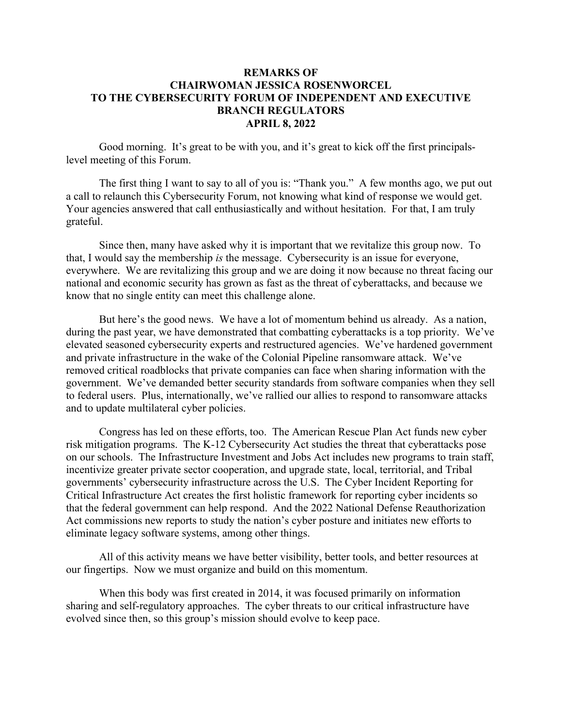## **REMARKS OF CHAIRWOMAN JESSICA ROSENWORCEL TO THE CYBERSECURITY FORUM OF INDEPENDENT AND EXECUTIVE BRANCH REGULATORS APRIL 8, 2022**

Good morning. It's great to be with you, and it's great to kick off the first principalslevel meeting of this Forum.

The first thing I want to say to all of you is: "Thank you." A few months ago, we put out a call to relaunch this Cybersecurity Forum, not knowing what kind of response we would get. Your agencies answered that call enthusiastically and without hesitation. For that, I am truly grateful.

Since then, many have asked why it is important that we revitalize this group now. To that, I would say the membership *is* the message. Cybersecurity is an issue for everyone, everywhere. We are revitalizing this group and we are doing it now because no threat facing our national and economic security has grown as fast as the threat of cyberattacks, and because we know that no single entity can meet this challenge alone.

But here's the good news. We have a lot of momentum behind us already. As a nation, during the past year, we have demonstrated that combatting cyberattacks is a top priority. We've elevated seasoned cybersecurity experts and restructured agencies. We've hardened government and private infrastructure in the wake of the Colonial Pipeline ransomware attack. We've removed critical roadblocks that private companies can face when sharing information with the government. We've demanded better security standards from software companies when they sell to federal users. Plus, internationally, we've rallied our allies to respond to ransomware attacks and to update multilateral cyber policies.

Congress has led on these efforts, too. The American Rescue Plan Act funds new cyber risk mitigation programs. The K-12 Cybersecurity Act studies the threat that cyberattacks pose on our schools. The Infrastructure Investment and Jobs Act includes new programs to train staff, incentivize greater private sector cooperation, and upgrade state, local, territorial, and Tribal governments' cybersecurity infrastructure across the U.S. The Cyber Incident Reporting for Critical Infrastructure Act creates the first holistic framework for reporting cyber incidents so that the federal government can help respond. And the 2022 National Defense Reauthorization Act commissions new reports to study the nation's cyber posture and initiates new efforts to eliminate legacy software systems, among other things.

All of this activity means we have better visibility, better tools, and better resources at our fingertips. Now we must organize and build on this momentum.

When this body was first created in 2014, it was focused primarily on information sharing and self-regulatory approaches. The cyber threats to our critical infrastructure have evolved since then, so this group's mission should evolve to keep pace.